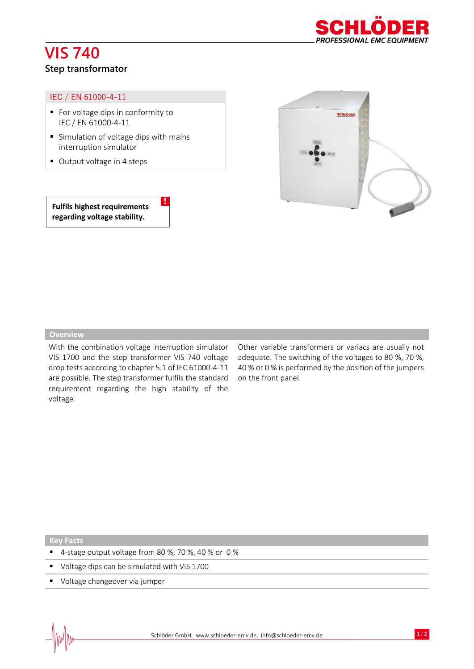# **VIS 740**



## **Step transformator**

#### IEC / EN 61000-4-11

- For voltage dips in conformity to IEC / EN 61000-4-11
- Simulation of voltage dips with mains interruption simulator

!

■ Output voltage in 4 steps

**Fulfils highest requirements regarding voltage stability.**



#### **Overview**

With the combination voltage interruption simulator VIS 1700 and the step transformer VIS 740 voltage drop tests according to chapter 5.1 of IEC 61000-4-11 are possible. The step transformer fulfils the standard requirement regarding the high stability of the voltage.

Other variable transformers or variacs are usually not adequate. The switching of the voltages to 80 %, 70 %, 40 % or 0 % is performed by the position of the jumpers on the front panel.

### **Key Facts**

- 4-stage output voltage from 80 %, 70 %, 40 % or 0 %
- Voltage dips can be simulated with VIS 1700
- Voltage changeover via jumper